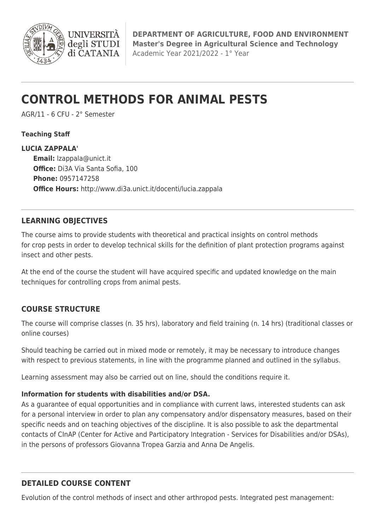

# **CONTROL METHODS FOR ANIMAL PESTS**

AGR/11 - 6 CFU - 2° Semester

**UNIVERSIT** degli STUDI di CATANIA

#### **Teaching Staff**

**LUCIA ZAPPALA' Email:** [lzappala@unict.it](mailto:lzappala@unict.it) **Office:** Di3A Via Santa Sofia, 100 **Phone:** 0957147258 **Office Hours:** http://www.di3a.unict.it/docenti/lucia.zappala

### **LEARNING OBJECTIVES**

The course aims to provide students with theoretical and practical insights on control methods for crop pests in order to develop technical skills for the definition of plant protection programs against insect and other pests.

At the end of the course the student will have acquired specific and updated knowledge on the main techniques for controlling crops from animal pests.

#### **COURSE STRUCTURE**

The course will comprise classes (n. 35 hrs), laboratory and field training (n. 14 hrs) (traditional classes or online courses)

Should teaching be carried out in mixed mode or remotely, it may be necessary to introduce changes with respect to previous statements, in line with the programme planned and outlined in the syllabus.

Learning assessment may also be carried out on line, should the conditions require it.

## **Information for students with disabilities and/or DSA.**

As a guarantee of equal opportunities and in compliance with current laws, interested students can ask for a personal interview in order to plan any compensatory and/or dispensatory measures, based on their specific needs and on teaching objectives of the discipline. It is also possible to ask the departmental contacts of CInAP (Center for Active and Participatory Integration - Services for Disabilities and/or DSAs), in the persons of professors Giovanna Tropea Garzia and Anna De Angelis.

# **DETAILED COURSE CONTENT**

Evolution of the control methods of insect and other arthropod pests. Integrated pest management: